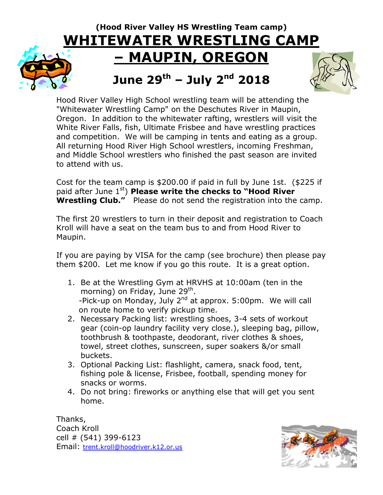## **(Hood River Valley HS Wrestling Team camp) WHITEWATER WRESTLING CAMP – MAUPIN, OREGON June 29 th – July 2 nd 2018**



Hood River Valley High School wrestling team will be attending the "Whitewater Wrestling Camp" on the Deschutes River in Maupin, Oregon. In addition to the whitewater rafting, wrestlers will visit the White River Falls, fish, Ultimate Frisbee and have wrestling practices and competition. We will be camping in tents and eating as a group. All returning Hood River High School wrestlers, incoming Freshman, and Middle School wrestlers who finished the past season are invited to attend with us.

Cost for the team camp is \$200.00 if paid in full by June 1st. (\$225 if paid after June 1<sup>st</sup>) **Please write the checks to "Hood River Wrestling Club."** Please do not send the registration into the camp.

The first 20 wrestlers to turn in their deposit and registration to Coach Kroll will have a seat on the team bus to and from Hood River to Maupin.

If you are paying by VISA for the camp (see brochure) then please pay them \$200. Let me know if you go this route. It is a great option.

- 1. Be at the Wrestling Gym at HRVHS at 10:00am (ten in the morning) on Friday, June 29<sup>th</sup>. -Pick-up on Monday, July 2<sup>nd</sup> at approx. 5:00pm. We will call on route home to verify pickup time.
- 2. Necessary Packing list: wrestling shoes, 3-4 sets of workout gear (coin-op laundry facility very close.), sleeping bag, pillow, toothbrush & toothpaste, deodorant, river clothes & shoes, towel, street clothes, sunscreen, super soakers &/or small buckets.
- 3. Optional Packing List: flashlight, camera, snack food, tent, fishing pole & license, Frisbee, football, spending money for snacks or worms.
- 4. Do not bring: fireworks or anything else that will get you sent home.

Thanks, Coach Kroll cell # (541) 399-6123 Email: [trent.kroll@hoodriver.k12.or.us](mailto:trent.kroll@hoodriver.k12.or.us)